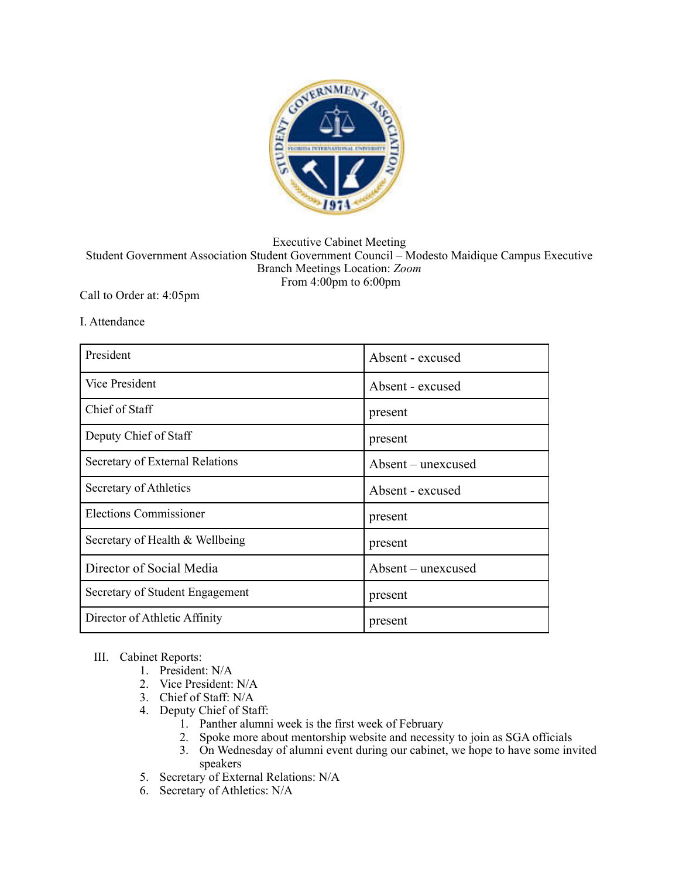

## Executive Cabinet Meeting Student Government Association Student Government Council – Modesto Maidique Campus Executive Branch Meetings Location: *Zoom*  From 4:00pm to 6:00pm

## Call to Order at: 4:05pm

## I. Attendance

| President                       | Absent - excused   |
|---------------------------------|--------------------|
| Vice President                  | Absent - excused   |
| Chief of Staff                  | present            |
| Deputy Chief of Staff           | present            |
| Secretary of External Relations | Absent – unexcused |
| Secretary of Athletics          | Absent - excused   |
| Elections Commissioner          | present            |
| Secretary of Health & Wellbeing | present            |
| Director of Social Media        | Absent – unexcused |
| Secretary of Student Engagement | present            |
| Director of Athletic Affinity   | present            |

## III. Cabinet Reports:

- 1. President: N/A
- 2. Vice President: N/A
- 3. Chief of Staff: N/A
- 4. Deputy Chief of Staff:
	- 1. Panther alumni week is the first week of February
	- 2. Spoke more about mentorship website and necessity to join as SGA officials
	- 3. On Wednesday of alumni event during our cabinet, we hope to have some invited speakers
- 5. Secretary of External Relations: N/A
- 6. Secretary of Athletics: N/A